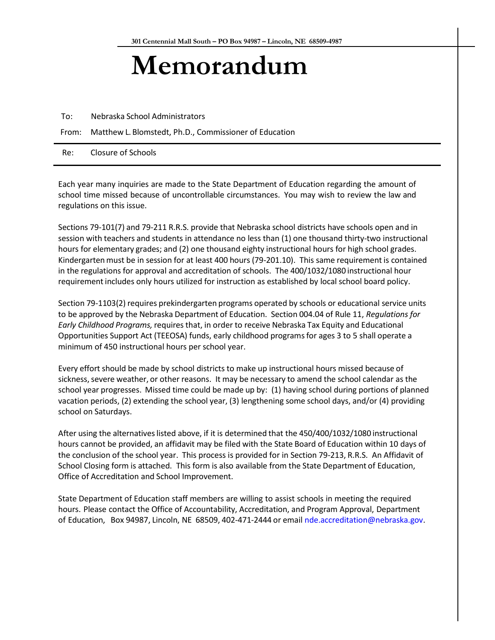## **Memorandum**

To: Nebraska School Administrators

From: Matthew L. Blomstedt, Ph.D., Commissioner of Education

Re: Closure of Schools

Each year many inquiries are made to the State Department of Education regarding the amount of school time missed because of uncontrollable circumstances. You may wish to review the law and regulations on this issue.

Sections 79-101(7) and 79-211 R.R.S. provide that Nebraska school districts have schools open and in session with teachers and students in attendance no less than (1) one thousand thirty-two instructional hours for elementary grades; and (2) one thousand eighty instructional hours for high school grades. Kindergarten must be in session for at least 400 hours (79-201.10). This same requirement is contained in the regulations for approval and accreditation of schools. The 400/1032/1080 instructional hour requirementincludes only hours utilized for instruction as established by local school board policy.

Section 79-1103(2) requires prekindergarten programs operated by schools or educational service units to be approved by the Nebraska Department of Education. Section 004.04 of Rule 11, *Regulations for Early Childhood Programs,* requires that, in order to receive Nebraska Tax Equity and Educational Opportunities Support Act (TEEOSA) funds, early childhood programsfor ages 3 to 5 shall operate a minimum of 450 instructional hours per school year.

Every effort should be made by school districts to make up instructional hours missed because of sickness, severe weather, or other reasons. It may be necessary to amend the school calendar as the school year progresses. Missed time could be made up by: (1) having school during portions of planned vacation periods, (2) extending the school year, (3) lengthening some school days, and/or (4) providing school on Saturdays.

After using the alternativeslisted above, if it is determined that the 450/400/1032/1080 instructional hours cannot be provided, an affidavit may be filed with the State Board of Education within 10 days of the conclusion of the school year. This process is provided for in Section 79-213, R.R.S. An Affidavit of School Closing form is attached. This form is also available from the State Department of Education, Office of Accreditation and School Improvement.

State Department of Education staff members are willing to assist schools in meeting the required hours. Please contact the Office of Accountability, Accreditation, and Program Approval, Department of Education, Box 94987, Lincoln, NE 68509, 402-471-2444 or email [nde.accreditation@nebraska.gov.](mailto:nde.accreditation@nebraska.gov)